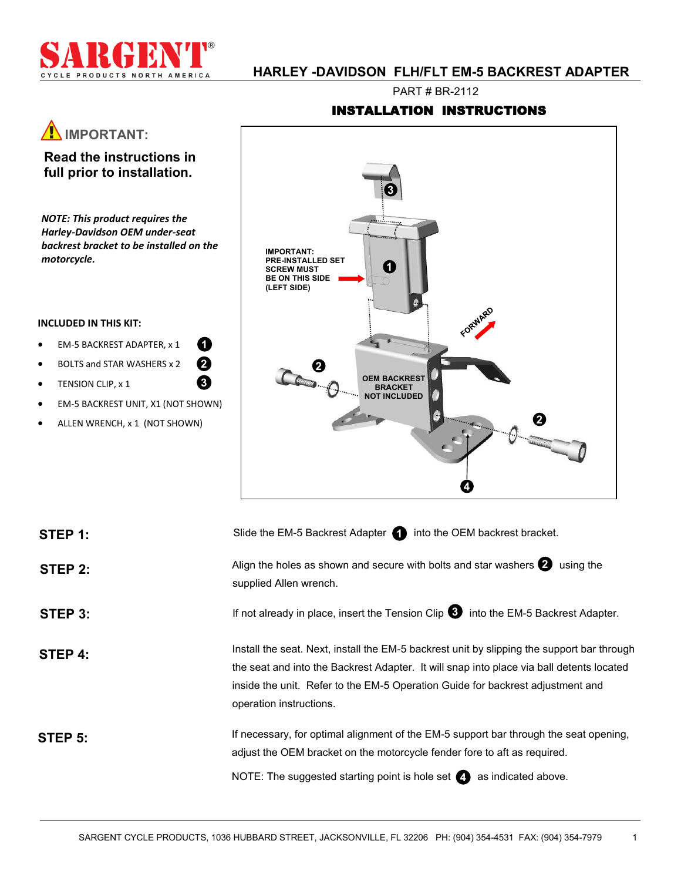

**IMPORTANT:** 

**Read the instructions in full prior to installation.**

*NOTE: This product requires the Harley-Davidson OEM under-seat backrest bracket to be installed on the* 

 EM-5 BACKREST ADAPTER, x 1 BOLTS and STAR WASHERS x 2

**1 2 3**

 EM-5 BACKREST UNIT, X1 (NOT SHOWN) ALLEN WRENCH, x 1 (NOT SHOWN)

*motorcycle.*

**INCLUDED IN THIS KIT:**

**•** TENSION CLIP, x 1

# **HARLEY -DAVIDSON FLH/FLT EM-5 BACKREST ADAPTER**

PART # BR-2112

## INSTALLATION INSTRUCTIONS



| STEP 1: | Slide the EM-5 Backrest Adapter (1) into the OEM backrest bracket.                                                                                                                                                                                                                                  |
|---------|-----------------------------------------------------------------------------------------------------------------------------------------------------------------------------------------------------------------------------------------------------------------------------------------------------|
| STEP 2: | Align the holes as shown and secure with bolts and star washers $\bullet$ using the<br>supplied Allen wrench.                                                                                                                                                                                       |
| STEP 3: | If not already in place, insert the Tension Clip $\bullet$ into the EM-5 Backrest Adapter.                                                                                                                                                                                                          |
| STEP 4: | Install the seat. Next, install the EM-5 backrest unit by slipping the support bar through<br>the seat and into the Backrest Adapter. It will snap into place via ball detents located<br>inside the unit. Refer to the EM-5 Operation Guide for backrest adjustment and<br>operation instructions. |
| STEP 5: | If necessary, for optimal alignment of the EM-5 support bar through the seat opening,<br>adjust the OEM bracket on the motorcycle fender fore to aft as required.<br>NOTE: The suggested starting point is hole set $\bigcirc$ as indicated above.                                                  |